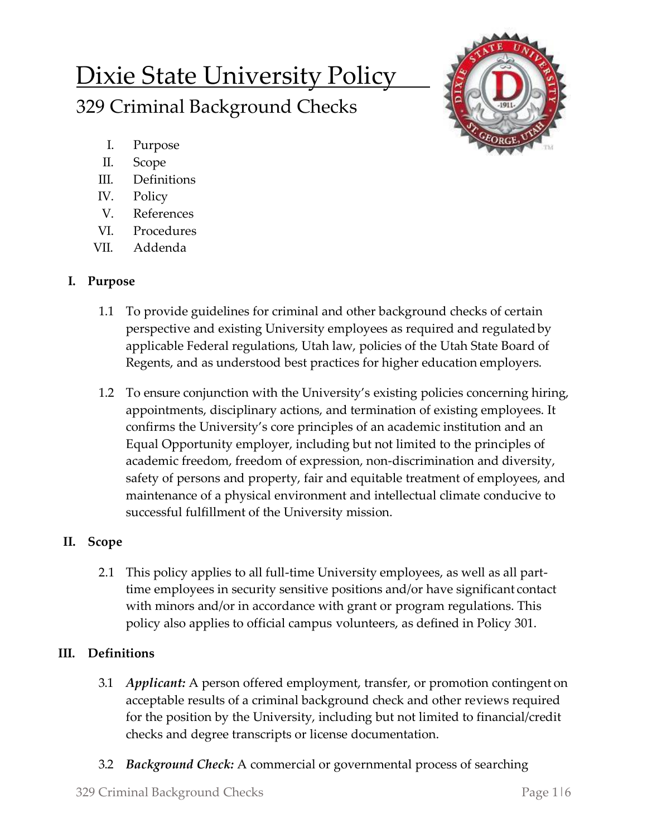# Dixie State University Policy 329 Criminal Background Checks



- I. Purpose
- II. Scope
- III. Definitions
- IV. Policy
- V. References
- VI. Procedures
- VII. Addenda

### **I. Purpose**

- 1.1 To provide guidelines for criminal and other background checks of certain perspective and existing University employees as required and regulatedby applicable Federal regulations, Utah law, policies of the Utah State Board of Regents, and as understood best practices for higher education employers.
- 1.2 To ensure conjunction with the University's existing policies concerning hiring, appointments, disciplinary actions, and termination of existing employees. It confirms the University's core principles of an academic institution and an Equal Opportunity employer, including but not limited to the principles of academic freedom, freedom of expression, non-discrimination and diversity, safety of persons and property, fair and equitable treatment of employees, and maintenance of a physical environment and intellectual climate conducive to successful fulfillment of the University mission.

## **II. Scope**

2.1 This policy applies to all full-time University employees, as well as all parttime employees in security sensitive positions and/or have significant contact with minors and/or in accordance with grant or program regulations. This policy also applies to official campus volunteers, as defined in Policy 301.

## **III. Definitions**

- 3.1 *Applicant:* A person offered employment, transfer, or promotion contingent on acceptable results of a criminal background check and other reviews required for the position by the University, including but not limited to financial/credit checks and degree transcripts or license documentation.
- 3.2 *Background Check:* A commercial or governmental process of searching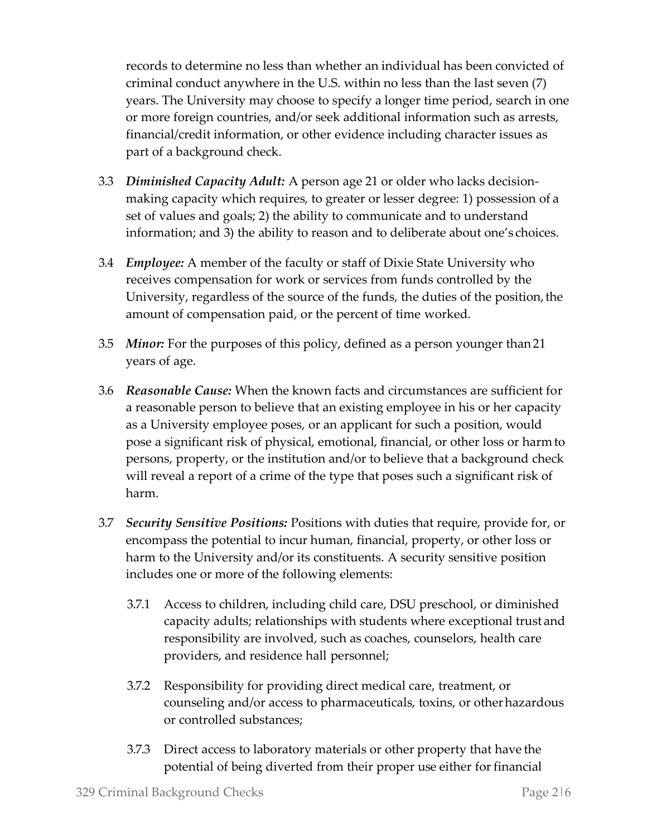records to determine no less than whether an individual has been convicted of criminal conduct anywhere in the U.S. within no less than the last seven (7) years. The University may choose to specify a longer time period, search in one or more foreign countries, and/or seek additional information such as arrests, financial/credit information, or other evidence including character issues as part of a background check.

- 3.3 *Diminished Capacity Adult:* A person age 21 or older who lacks decisionmaking capacity which requires, to greater or lesser degree: 1) possession of a set of values and goals; 2) the ability to communicate and to understand information; and 3) the ability to reason and to deliberate about one's choices.
- 3.4 *Employee:* A member of the faculty or staff of Dixie State University who receives compensation for work or services from funds controlled by the University, regardless of the source of the funds, the duties of the position, the amount of compensation paid, or the percent of time worked.
- 3.5 *Minor:* For the purposes of this policy, defined as a person younger than21 years of age.
- 3.6 *Reasonable Cause:* When the known facts and circumstances are sufficient for a reasonable person to believe that an existing employee in his or her capacity as a University employee poses, or an applicant for such a position, would pose a significant risk of physical, emotional, financial, or other loss or harmto persons, property, or the institution and/or to believe that a background check will reveal a report of a crime of the type that poses such a significant risk of harm.
- 3.7 *Security Sensitive Positions:* Positions with duties that require, provide for, or encompass the potential to incur human, financial, property, or other loss or harm to the University and/or its constituents. A security sensitive position includes one or more of the following elements:
	- 3.7.1 Access to children, including child care, DSU preschool, or diminished capacity adults; relationships with students where exceptional trust and responsibility are involved, such as coaches, counselors, health care providers, and residence hall personnel;
	- 3.7.2 Responsibility for providing direct medical care, treatment, or counseling and/or access to pharmaceuticals, toxins, or otherhazardous or controlled substances;
	- 3.7.3 Direct access to laboratory materials or other property that have the potential of being diverted from their proper use either for financial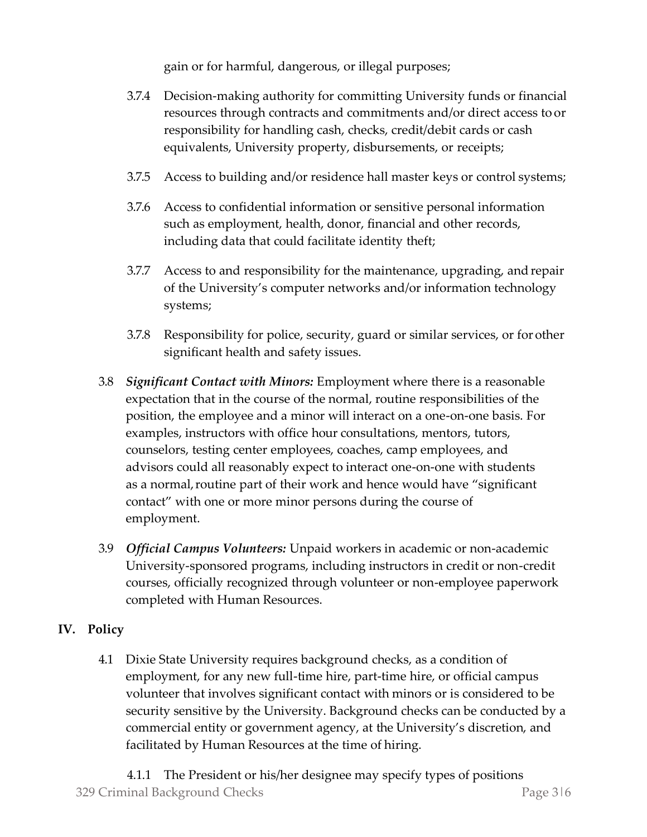gain or for harmful, dangerous, or illegal purposes;

- 3.7.4 Decision-making authority for committing University funds or financial resources through contracts and commitments and/or direct access to or responsibility for handling cash, checks, credit/debit cards or cash equivalents, University property, disbursements, or receipts;
- 3.7.5 Access to building and/or residence hall master keys or control systems;
- 3.7.6 Access to confidential information or sensitive personal information such as employment, health, donor, financial and other records, including data that could facilitate identity theft;
- 3.7.7 Access to and responsibility for the maintenance, upgrading, andrepair of the University's computer networks and/or information technology systems;
- 3.7.8 Responsibility for police, security, guard or similar services, or for other significant health and safety issues.
- 3.8 *Significant Contact with Minors:* Employment where there is a reasonable expectation that in the course of the normal, routine responsibilities of the position, the employee and a minor will interact on a one-on-one basis. For examples, instructors with office hour consultations, mentors, tutors, counselors, testing center employees, coaches, camp employees, and advisors could all reasonably expect to interact one-on-one with students as a normal, routine part of their work and hence would have "significant" contact" with one or more minor persons during the course of employment.
- 3.9 *Official Campus Volunteers:* Unpaid workers in academic or non-academic University-sponsored programs, including instructors in credit or non-credit courses, officially recognized through volunteer or non-employee paperwork completed with Human Resources.

#### **IV. Policy**

4.1 Dixie State University requires background checks, as a condition of employment, for any new full-time hire, part-time hire, or official campus volunteer that involves significant contact with minors or is considered to be security sensitive by the University. Background checks can be conducted by a commercial entity or government agency, at the University's discretion, and facilitated by Human Resources at the time of hiring.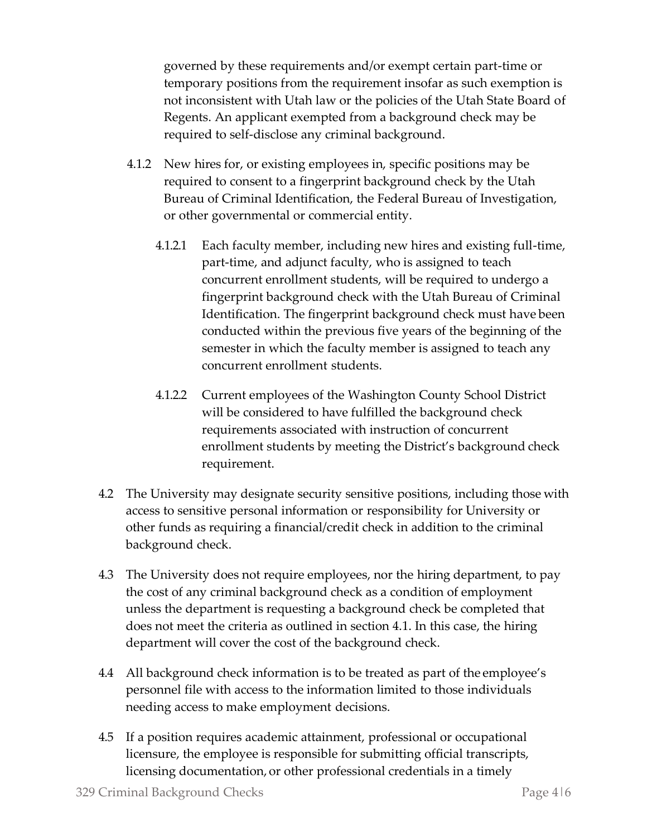governed by these requirements and/or exempt certain part-time or temporary positions from the requirement insofar as such exemption is not inconsistent with Utah law or the policies of the Utah State Board of Regents. An applicant exempted from a background check may be required to self-disclose any criminal background.

- 4.1.2 New hires for, or existing employees in, specific positions may be required to consent to a fingerprint background check by the Utah Bureau of Criminal Identification, the Federal Bureau of Investigation, or other governmental or commercial entity.
	- 4.1.2.1 Each faculty member, including new hires and existing full-time, part-time, and adjunct faculty, who is assigned to teach concurrent enrollment students, will be required to undergo a fingerprint background check with the Utah Bureau of Criminal Identification. The fingerprint background check must have been conducted within the previous five years of the beginning of the semester in which the faculty member is assigned to teach any concurrent enrollment students.
	- 4.1.2.2 Current employees of the Washington County School District will be considered to have fulfilled the background check requirements associated with instruction of concurrent enrollment students by meeting the District's background check requirement.
- 4.2 The University may designate security sensitive positions, including those with access to sensitive personal information or responsibility for University or other funds as requiring a financial/credit check in addition to the criminal background check.
- 4.3 The University does not require employees, nor the hiring department, to pay the cost of any criminal background check as a condition of employment unless the department is requesting a background check be completed that does not meet the criteria as outlined in section 4.1. In this case, the hiring department will cover the cost of the background check.
- 4.4 All background check information is to be treated as part of the employee's personnel file with access to the information limited to those individuals needing access to make employment decisions.
- 4.5 If a position requires academic attainment, professional or occupational licensure, the employee is responsible for submitting official transcripts, licensing documentation, or other professional credentials in a timely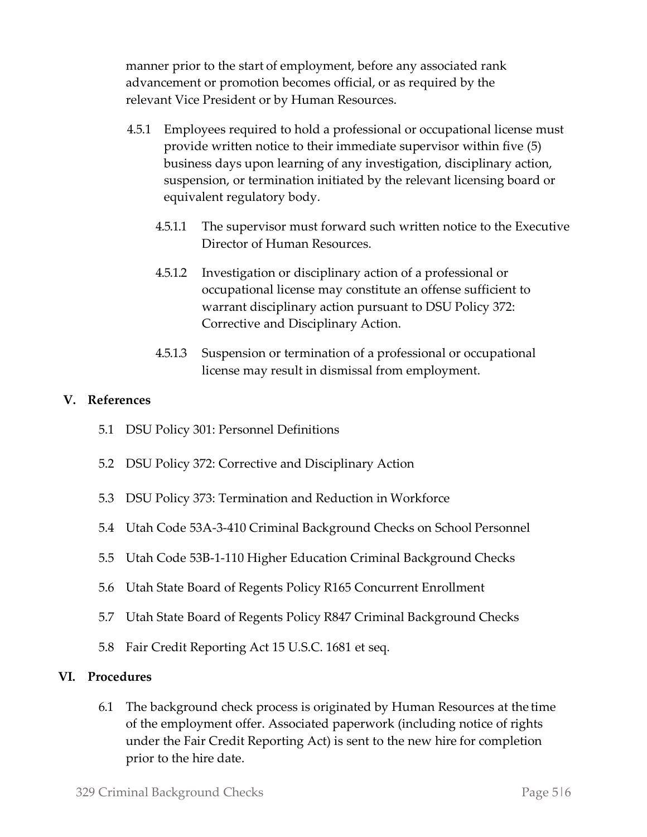manner prior to the start of employment, before any associated rank advancement or promotion becomes official, or as required by the relevant Vice President or by Human Resources.

- 4.5.1 Employees required to hold a professional or occupational license must provide written notice to their immediate supervisor within five (5) business days upon learning of any investigation, disciplinary action, suspension, or termination initiated by the relevant licensing board or equivalent regulatory body.
	- 4.5.1.1 The supervisor must forward such written notice to the Executive Director of Human Resources.
	- 4.5.1.2 Investigation or disciplinary action of a professional or occupational license may constitute an offense sufficient to warrant disciplinary action pursuant to DSU Policy 372: Corrective and Disciplinary Action.
	- 4.5.1.3 Suspension or termination of a professional or occupational license may result in dismissal from employment.

#### **V. References**

- 5.1 DSU Policy 301: Personnel Definitions
- 5.2 DSU Policy 372: Corrective and Disciplinary Action
- 5.3 DSU Policy 373: Termination and Reduction in Workforce
- 5.4 Utah Code 53A-3-410 Criminal Background Checks on School Personnel
- 5.5 Utah Code 53B-1-110 Higher Education Criminal Background Checks
- 5.6 Utah State Board of Regents Policy R165 Concurrent Enrollment
- 5.7 Utah State Board of Regents Policy R847 Criminal Background Checks
- 5.8 Fair Credit Reporting Act 15 U.S.C. 1681 et seq.

#### **VI. Procedures**

6.1 The background check process is originated by Human Resources at the time of the employment offer. Associated paperwork (including notice of rights under the Fair Credit Reporting Act) is sent to the new hire for completion prior to the hire date.